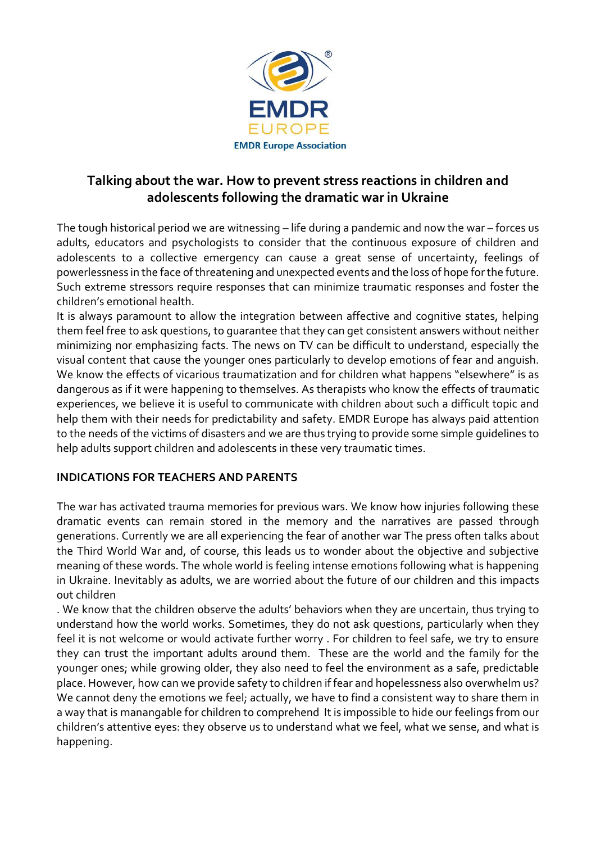

# **Talking about the war. How to prevent stress reactions in children and adolescents following the dramatic war in Ukraine**

The tough historical period we are witnessing – life during a pandemic and now the war – forces us adults, educators and psychologists to consider that the continuous exposure of children and adolescents to a collective emergency can cause a great sense of uncertainty, feelings of powerlessness in the face of threatening and unexpected events and the loss of hope for the future. Such extreme stressors require responses that can minimize traumatic responses and foster the children's emotional health.

It is always paramount to allow the integration between affective and cognitive states, helping them feel free to ask questions, to guarantee that they can get consistent answers without neither minimizing nor emphasizing facts. The news on TV can be difficult to understand, especially the visual content that cause the younger ones particularly to develop emotions of fear and anguish. We know the effects of vicarious traumatization and for children what happens "elsewhere" is as dangerous as if it were happening to themselves. As therapists who know the effects of traumatic experiences, we believe it is useful to communicate with children about such a difficult topic and help them with their needs for predictability and safety. EMDR Europe has always paid attention to the needs of the victims of disasters and we are thus trying to provide some simple guidelines to help adults support children and adolescents in these very traumatic times.

## **INDICATIONS FOR TEACHERS AND PARENTS**

The war has activated trauma memories for previous wars. We know how injuries following these dramatic events can remain stored in the memory and the narratives are passed through generations. Currently we are all experiencing the fear of another war The press often talks about the Third World War and, of course, this leads us to wonder about the objective and subjective meaning of these words. The whole world is feeling intense emotions following what is happening in Ukraine. Inevitably as adults, we are worried about the future of our children and this impacts out children

. We know that the children observe the adults' behaviors when they are uncertain, thus trying to understand how the world works. Sometimes, they do not ask questions, particularly when they feel it is not welcome or would activate further worry . For children to feel safe, we try to ensure they can trust the important adults around them. These are the world and the family for the younger ones; while growing older, they also need to feel the environment as a safe, predictable place. However, how can we provide safety to children if fear and hopelessness also overwhelm us? We cannot deny the emotions we feel; actually, we have to find a consistent way to share them in a way that is manangable for children to comprehend It is impossible to hide our feelings from our children's attentive eyes: they observe us to understand what we feel, what we sense, and what is happening.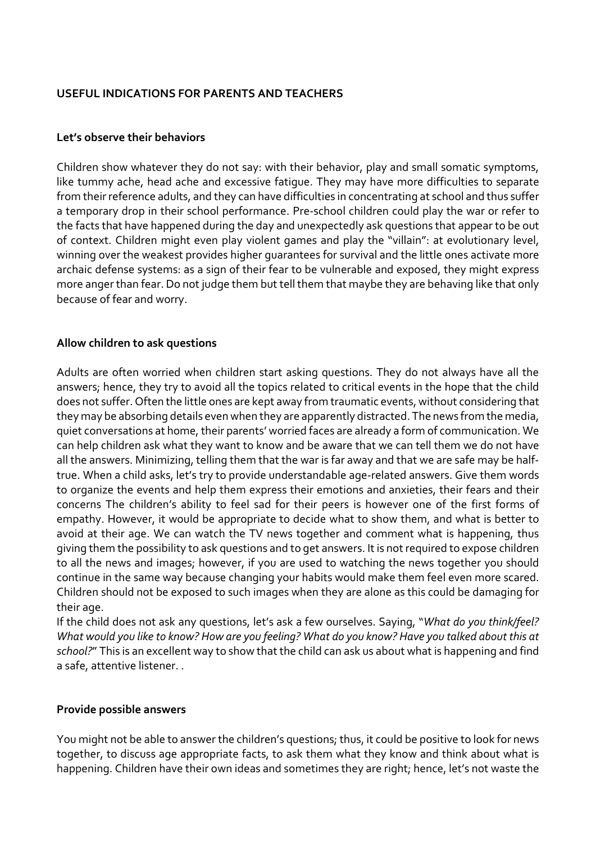### **USEFUL INDICATIONS FOR PARENTS AND TEACHERS**

#### **Let's observe their behaviors**

Children show whatever they do not say: with their behavior, play and small somatic symptoms, like tummy ache, head ache and excessive fatigue. They may have more difficulties to separate from their reference adults, and they can have difficulties in concentrating at school and thus suffer a temporary drop in their school performance. Pre-school children could play the war or refer to the facts that have happened during the day and unexpectedly ask questions that appear to be out of context. Children might even play violent games and play the "villain": at evolutionary level, winning over the weakest provides higher guarantees for survival and the little ones activate more archaic defense systems: as a sign of their fear to be vulnerable and exposed, they might express more anger than fear. Do not judge them but tell them that maybe they are behaving like that only because of fear and worry.

### **Allow children to ask questions**

Adults are often worried when children start asking questions. They do not always have all the answers; hence, they try to avoid all the topics related to critical events in the hope that the child does not suffer. Often the little ones are kept away from traumatic events, without considering that they may be absorbing details even when they are apparently distracted. The news from the media, quiet conversations at home, their parents' worried faces are already a form of communication. We can help children ask what they want to know and be aware that we can tell them we do not have all the answers. Minimizing, telling them that the war is far away and that we are safe may be halftrue. When a child asks, let's try to provide understandable age-related answers. Give them words to organize the events and help them express their emotions and anxieties, their fears and their concerns The children's ability to feel sad for their peers is however one of the first forms of empathy. However, it would be appropriate to decide what to show them, and what is better to avoid at their age. We can watch the TV news together and comment what is happening, thus giving them the possibility to ask questions and to get answers. It is not required to expose children to all the news and images; however, if you are used to watching the news together you should continue in the same way because changing your habits would make them feel even more scared. Children should not be exposed to such images when they are alone as this could be damaging for their age.

If the child does not ask any questions, let's ask a few ourselves. Saying, "*What do you think/feel?* What would you like to know? How are you feeling? What do you know? Have you talked about this at *school?*" This is an excellent way to show that the child can ask us about what is happening and find a safe, attentive listener. .

#### **Provide possible answers**

You might not be able to answer the children's questions; thus, it could be positive to look for news together, to discuss age appropriate facts, to ask them what they know and think about what is happening. Children have their own ideas and sometimes they are right; hence, let's not waste the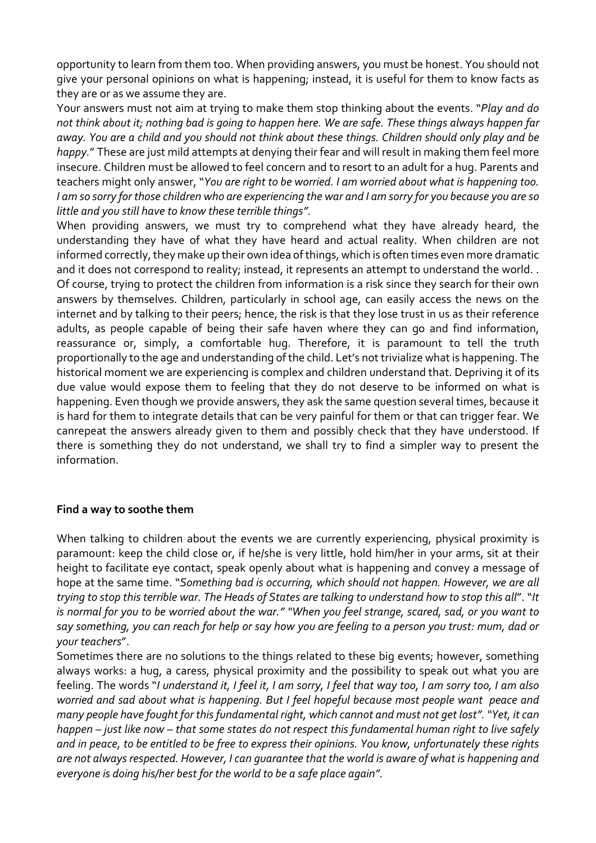opportunity to learn from them too. When providing answers, you must be honest. You should not give your personal opinions on what is happening; instead, it is useful for them to know facts as they are or as we assume they are.

Your answers must not aim at trying to make them stop thinking about the events. "*Play and do* not think about it; nothing bad is going to happen here. We are safe. These things always happen far away. You are a child and you should not think about these things. Children should only play and be *happy.*" These are just mild attempts at denying their fear and will result in making them feel more insecure. Children must be allowed to feel concern and to resort to an adult for a hug. Parents and teachers might only answer, "*You are right to be worried. I am worried about what is happening too.* I am so sorry for those children who are experiencing the war and I am sorry for you because you are so *little and you still have to know these terrible things".*

When providing answers, we must try to comprehend what they have already heard, the understanding they have of what they have heard and actual reality. When children are not informed correctly, they make up their own idea of things, which is often times even more dramatic and it does not correspond to reality; instead, it represents an attempt to understand the world. . Of course, trying to protect the children from information is a risk since they search for their own answers by themselves. Children, particularly in school age, can easily access the news on the internet and by talking to their peers; hence, the risk is that they lose trust in us as their reference adults, as people capable of being their safe haven where they can go and find information, reassurance or, simply, a comfortable hug. Therefore, it is paramount to tell the truth proportionally to the age and understanding of the child. Let's not trivialize what is happening. The historical moment we are experiencing is complex and children understand that. Depriving it of its due value would expose them to feeling that they do not deserve to be informed on what is happening. Even though we provide answers, they ask the same question several times, because it is hard for them to integrate details that can be very painful for them or that can trigger fear. We canrepeat the answers already given to them and possibly check that they have understood. If there is something they do not understand, we shall try to find a simpler way to present the information.

### **Find a way to soothe them**

When talking to children about the events we are currently experiencing, physical proximity is paramount: keep the child close or, if he/she is very little, hold him/her in your arms, sit at their height to facilitate eye contact, speak openly about what is happening and convey a message of hope at the same time. "*Something bad is occurring, which should not happen. However, we are all* trying to stop this terrible war. The Heads of States are talking to understand how to stop this all". "It is normal for you to be worried about the war." "When you feel strange, scared, sad, or you want to say something, you can reach for help or say how you are feeling to a person you trust: mum, dad or *your teachers*".

Sometimes there are no solutions to the things related to these big events; however, something always works: a hug, a caress, physical proximity and the possibility to speak out what you are feeling. The words "I understand it, I feel it, I am sorry, I feel that way too, I am sorry too, I am also *worried and sad about what is happening. But I feel hopeful because most people want peace and many people have fought for thisfundamental right, which cannot and must not get lost"."Yet, it can* happen – just like now – that some states do not respect this fundamental human right to live safely and in peace, to be entitled to be free to express their opinions. You know, unfortunately these rights *are not alwaysrespected. However, I can guarantee that the world is aware of what is happening and everyone is doing his/her best for the world to be a safe place again".*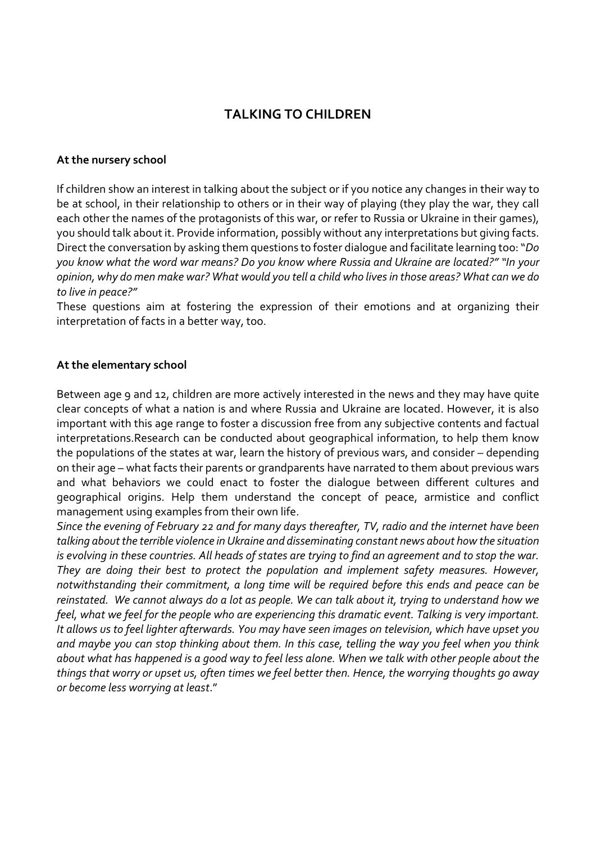# **TALKING TO CHILDREN**

#### **At the nursery school**

If children show an interest in talking about the subject or if you notice any changes in their way to be at school, in their relationship to others or in their way of playing (they play the war, they call each other the names of the protagonists of this war, or refer to Russia or Ukraine in their games), you should talk about it. Provide information, possibly without any interpretations but giving facts. Direct the conversation by asking them questions to foster dialogue and facilitate learning too:"*Do* you know what the word war means? Do you know where Russia and Ukraine are located?" "In your opinion, why do men make war? What would you tell a child who lives in those areas? What can we do *to live in peace?"*

These questions aim at fostering the expression of their emotions and at organizing their interpretation of facts in a better way, too.

### **At the elementary school**

Between age 9 and 12, children are more actively interested in the news and they may have quite clear concepts of what a nation is and where Russia and Ukraine are located. However, it is also important with this age range to foster a discussion free from any subjective contents and factual interpretations.Research can be conducted about geographical information, to help them know the populations of the states at war, learn the history of previous wars, and consider – depending on their age – what facts their parents or grandparents have narrated to them about previous wars and what behaviors we could enact to foster the dialogue between different cultures and geographical origins. Help them understand the concept of peace, armistice and conflict management using examples from their own life.

Since the evening of February 22 and for many days thereafter, TV, radio and the internet have been *talking aboutthe terrible violence in Ukraine and disseminating constant news about how the situation* is evolving in these countries. All heads of states are trying to find an agreement and to stop the war. *They are doing their best to protect the population and implement safety measures. However, notwithstanding their commitment, a long time will be required before this ends and peace can be* reinstated. We cannot always do a lot as people. We can talk about it, trying to understand how we *feel, what we feel for the people who are experiencing this dramatic event. Talking is very important.* It allows us to feel lighter afterwards. You may have seen images on television, which have upset you and maybe you can stop thinking about them. In this case, telling the way you feel when you think about what has happened is a good way to feel less alone. When we talk with other people about the things that worry or upset us, often times we feel better then. Hence, the worrying thoughts go away *or become less worrying at least*."